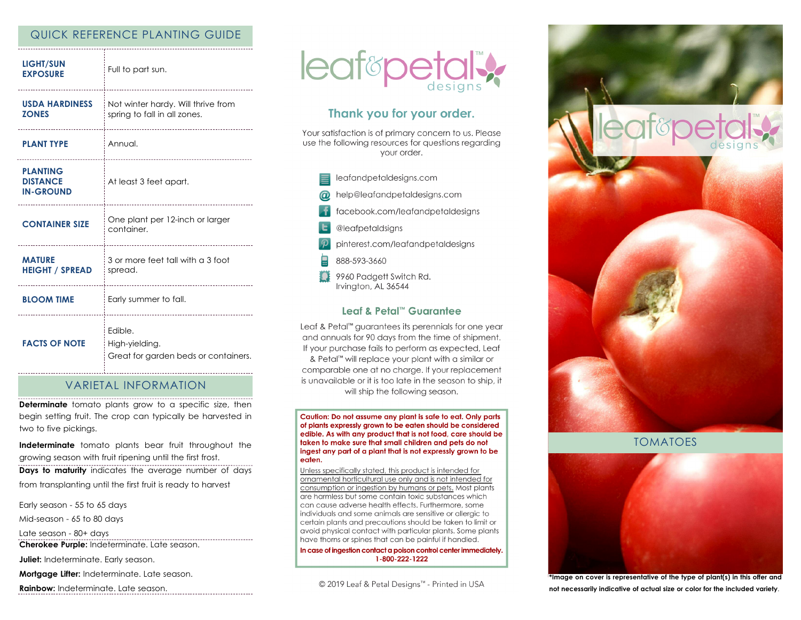# QUICK REFERENCE PLANTING GUIDE

| <b>LIGHT/SUN</b><br><b>EXPOSURE</b>                    | Full to part sun.                                                               |
|--------------------------------------------------------|---------------------------------------------------------------------------------|
| <b>USDA HARDINESS</b><br><b>ZONES</b>                  | Not winter hardy. Will thrive from<br>spring to fall in all zones.              |
| <b>PLANT TYPE</b><br>----------------------------      | Annual.<br>----------------------------                                         |
| <b>PLANTING</b><br><b>DISTANCE</b><br><b>IN-GROUND</b> | At least 3 feet apart.                                                          |
| <b>CONTAINER SIZE</b>                                  | One plant per 12-inch or larger<br>container.                                   |
| <b>MATURE</b><br><b>HEIGHT / SPREAD</b>                | 3 or more feet tall with a 3 foot<br>i spread.<br>----------------------------- |
| <b>BLOOM TIME</b>                                      | Early summer to fall.                                                           |
| <b>FACTS OF NOTE</b>                                   | Edible.<br>High-yielding.<br>Great for garden beds or containers.               |

## VARIETAL INFORMATION

**Determinate** tomato plants grow to a specific size, then begin setting fruit. The crop can typically be harvested in two to five pickings.

**Indeterminate** tomato plants bear fruit throughout the growing season with fruit ripening until the first frost.

**Days to maturity** indicates the average number of days from transplanting until the first fruit is ready to harvest

Early season - 55 to 65 days

Mid-season - 65 to 80 days

Late season - 80+ days

**Cherokee Purple:** Indeterminate. Late season.

**Juliet:** Indeterminate. Early season.

**Mortgage Lifter:** Indeterminate. Late season.

**Rainbow:** Indeterminate. Late season.



# Thank you for your order.

Your satisfaction is of primary concern to us. Please use the following resources for questions regarding vour order.

- leafandpetaldesigns.com
- help@leafandpetaldesigns.com
- facebook.com/leafandpetaldesigns
- @leafpetaldsigns
- pinterest.com/leafandpetaldesigns
- 888-593-3660
- 9960 Padgett Switch Rd. Irvington, AL 36544

## Leaf & Petal™ Guarantee

Leaf & Petal<sup>™</sup> guarantees its perennials for one year and annuals for 90 days from the time of shipment. If your purchase fails to perform as expected, Leaf & Petal™ will replace your plant with a similar or comparable one at no charge. If your replacement is unavailable or it is too late in the season to ship, it will ship the following season.

Caution: Do not assume any plant is safe to eat. Only parts of plants expressly grown to be eaten should be considered edible. As with any product that is not food, care should be taken to make sure that small children and pets do not ingest any part of a plant that is not expressly grown to be eaten.

Unless specifically stated, this product is intended for ornamental horticultural use only and is not intended for consumption or ingestion by humans or pets. Most plants are harmless but some contain toxic substances which can cause adverse health effects. Furthermore, some individuals and some animals are sensitive or allergic to certain plants and precautions should be taken to limit or avoid physical contact with particular plants. Some plants have thorns or spines that can be painful if handled.

In case of ingestion contact a poison control center immediately. 1-800-222-1222

© 2019 Leaf & Petal Designs™ - Printed in USA



TOMATOES



**\*Image on cover is representative of the type of plant(s) in this offer and not necessarily indicative of actual size or color for the included variety**.